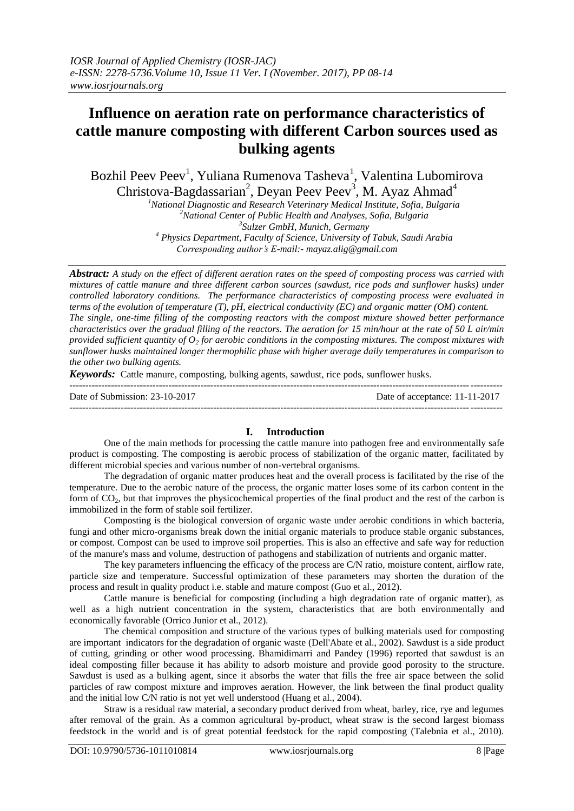# **Influence on aeration rate on performance characteristics of cattle manure composting with different Carbon sources used as bulking agents**

Bozhil Peev Peev<sup>1</sup>, Yuliana Rumenova Tasheva<sup>1</sup>, Valentina Lubomirova Christova-Bagdassarian<sup>2</sup>, Deyan Peev Peev<sup>3</sup>, M. Ayaz Ahmad<sup>4</sup>

*National Diagnostic and Research Veterinary Medical Institute, Sofia, Bulgaria National Center of Public Health and Analyses, Sofia, Bulgaria Sulzer GmbH, Munich, Germany Physics Department, Faculty of Science, University of Tabuk, Saudi Arabia*

*Corresponding author's E-mail:- mayaz.alig@gmail.com*

*Abstract: A study on the effect of different aeration rates on the speed of composting process was carried with mixtures of cattle manure and three different carbon sources (sawdust, rice pods and sunflower husks) under controlled laboratory conditions. The performance characteristics of composting process were evaluated in terms of the evolution of temperature (T), pH, electrical conductivity (EC) and organic matter (OM) content. The single, one-time filling of the composting reactors with the compost mixture showed better performance characteristics over the gradual filling of the reactors. The aeration for 15 min/hour at the rate of 50 L air/min provided sufficient quantity of O<sup>2</sup> for aerobic conditions in the composting mixtures. The compost mixtures with sunflower husks maintained longer thermophilic phase with higher average daily temperatures in comparison to the other two bulking agents.* 

*Keywords:* Cattle manure, composting, bulking agents, sawdust, rice pods, sunflower husks.

| Date of Submission: 23-10-2017 | Date of acceptance: 11-11-2017 |
|--------------------------------|--------------------------------|
|                                |                                |

### **I. Introduction**

One of the main methods for processing the cattle manure into pathogen free and environmentally safe product is composting. The composting is aerobic process of stabilization of the organic matter, facilitated by different microbial species and various number of non-vertebral organisms.

The degradation of organic matter produces heat and the overall process is facilitated by the rise of the temperature. Due to the aerobic nature of the process, the organic matter loses some of its carbon content in the form of CO2, but that improves the physicochemical properties of the final product and the rest of the carbon is immobilized in the form of stable soil fertilizer.

Composting is the biological conversion of organic waste under aerobic conditions in which bacteria, fungi and other micro-organisms break down the initial organic materials to produce stable organic substances, or compost. Compost can be used to improve soil properties. This is also an effective and safe way for reduction of the manure's mass and volume, destruction of pathogens and stabilization of nutrients and organic matter.

The key parameters influencing the efficacy of the process are C/N ratio, moisture content, airflow rate, particle size and temperature. Successful optimization of these parameters may shorten the duration of the process and result in quality product i.e. stable and mature compost (Guo et al., 2012).

Cattle manure is beneficial for composting (including a high degradation rate of organic matter), as well as a high nutrient concentration in the system, characteristics that are both environmentally and economically favorable (Orrico Junior et al., 2012).

The chemical composition and structure of the various types of bulking materials used for composting are important indicators for the degradation of organic waste (Dell'Abate et al., 2002). Sawdust is a side product of cutting, grinding or other wood processing. Bhamidimarri and Pandey (1996) reported that sawdust is an ideal composting filler because it has ability to adsorb moisture and provide good porosity to the structure. Sawdust is used as a bulking agent, since it absorbs the water that fills the free air space between the solid particles of raw compost mixture and improves aeration. However, the link between the final product quality and the initial low C/N ratio is not yet well understood (Huang et al., 2004).

Straw is a residual raw material, a secondary product derived from wheat, barley, rice, rye and legumes after removal of the grain. As a common agricultural by-product, wheat straw is the second largest biomass feedstock in the world and is of great potential feedstock for the rapid composting (Talebnia et al., 2010).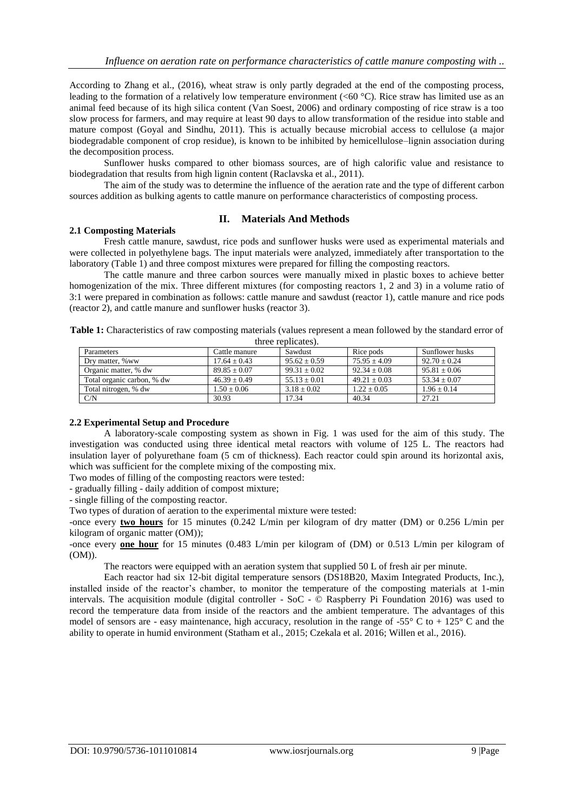According to Zhang et al., (2016), wheat straw is only partly degraded at the end of the composting process, leading to the formation of a relatively low temperature environment (<60 °C). Rice straw has limited use as an animal feed because of its high silica content (Van Soest, 2006) and ordinary composting of rice straw is a too slow process for farmers, and may require at least 90 days to allow transformation of the residue into stable and mature compost (Goyal and Sindhu, 2011). This is actually because microbial access to cellulose (a major biodegradable component of crop residue), is known to be inhibited by hemicellulose–lignin association during the decomposition process.

Sunflower husks compared to other biomass sources, are of high calorific value and resistance to biodegradation that results from high lignin content (Raclavska et al., 2011).

The aim of the study was to determine the influence of the aeration rate and the type of different carbon sources addition as bulking agents to cattle manure on performance characteristics of composting process.

## **II. Materials And Methods**

#### **2.1 Composting Materials**

Fresh cattle manure, sawdust, rice pods and sunflower husks were used as experimental materials and were collected in polyethylene bags. The input materials were analyzed, immediately after transportation to the laboratory (Table 1) and three compost mixtures were prepared for filling the composting reactors.

The cattle manure and three carbon sources were manually mixed in plastic boxes to achieve better homogenization of the mix. Three different mixtures (for composting reactors 1, 2 and 3) in a volume ratio of 3:1 were prepared in combination as follows: cattle manure and sawdust (reactor 1), cattle manure and rice pods (reactor 2), and cattle manure and sunflower husks (reactor 3).

| <b>Table 1:</b> Characteristics of raw composting materials (values represent a mean followed by the standard error of |                    |  |
|------------------------------------------------------------------------------------------------------------------------|--------------------|--|
|                                                                                                                        | three replicates). |  |

| Parameters                 | Cattle manure  | Sawdust        | Rice pods      | Sunflower husks |
|----------------------------|----------------|----------------|----------------|-----------------|
| Dry matter, %ww            | $17.64 + 0.43$ | $95.62 + 0.59$ | $75.95 + 4.09$ | $92.70 + 0.24$  |
| Organic matter, % dw       | $89.85 + 0.07$ | $99.31 + 0.02$ | $92.34 + 0.08$ | $95.81 + 0.06$  |
| Total organic carbon, % dw | $46.39 + 0.49$ | $55.13 + 0.01$ | $49.21 + 0.03$ | $53.34 + 0.07$  |
| Total nitrogen, % dw       | $1.50 + 0.06$  | $3.18 + 0.02$  | $1.22 + 0.05$  | $1.96 + 0.14$   |
| C/N                        | 30.93          | 17.34          | 40.34          | 27.21           |

### **2.2 Experimental Setup and Procedure**

A laboratory-scale composting system as shown in Fig. 1 was used for the aim of this study. The investigation was conducted using three identical metal reactors with volume of 125 L. The reactors had insulation layer of polyurethane foam (5 cm of thickness). Each reactor could spin around its horizontal axis, which was sufficient for the complete mixing of the composting mix.

Two modes of filling of the composting reactors were tested:

- gradually filling - daily addition of compost mixture;

- single filling of the composting reactor.

Two types of duration of aeration to the experimental mixture were tested:

-once every **two hours** for 15 minutes (0.242 L/min per kilogram of dry matter (DM) or 0.256 L/min per kilogram of organic matter (OM));

-once every **one hour** for 15 minutes (0.483 L/min per kilogram of (DM) or 0.513 L/min per kilogram of (OM)).

The reactors were equipped with an aeration system that supplied 50 L of fresh air per minute.

Each reactor had six 12-bit digital temperature sensors (DS18B20, Maxim Integrated Products, Inc.), installed inside of the reactor's chamber, to monitor the temperature of the composting materials at 1-min intervals. The acquisition module (digital controller - SoC - © Raspberry Pi Foundation 2016) was used to record the temperature data from inside of the reactors and the ambient temperature. The advantages of this model of sensors are - easy maintenance, high accuracy, resolution in the range of -55° C to + 125° C and the ability to operate in humid environment (Statham et al., 2015; Czekala et al. 2016; Willen et al., 2016).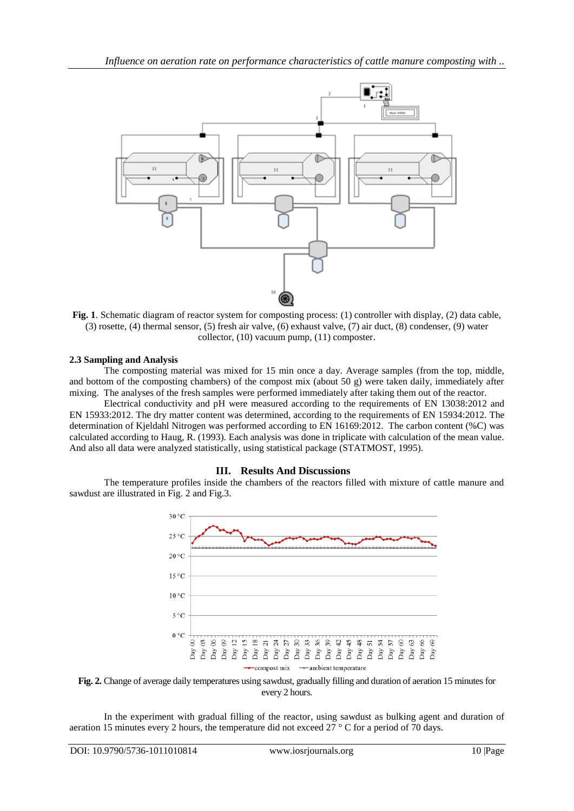

**Fig. 1**. Schematic diagram of reactor system for composting process: (1) controller with display, (2) data cable, (3) rosette, (4) thermal sensor, (5) fresh air valve, (6) exhaust valve, (7) air duct, (8) condenser, (9) water collector, (10) vacuum pump, (11) composter.

## **2.3 Sampling and Analysis**

The composting material was mixed for 15 min once a day. Average samples (from the top, middle, and bottom of the composting chambers) of the compost mix (about 50 g) were taken daily, immediately after mixing. The analyses of the fresh samples were performed immediately after taking them out of the reactor.

Electrical conductivity and pH were measured according to the requirements of EN 13038:2012 and EN 15933:2012. The dry matter content was determined, according to the requirements of EN 15934:2012. The determination of Kjeldahl Nitrogen was performed according to EN 16169:2012. The carbon content (%C) was calculated according to Haug, R. (1993). Each analysis was done in triplicate with calculation of the mean value. And also all data were analyzed statistically, using statistical package (STATMOST, 1995).

## **III. Results And Discussions**

The temperature profiles inside the chambers of the reactors filled with mixture of cattle manure and sawdust are illustrated in Fig. 2 and Fig.3.





In the experiment with gradual filling of the reactor, using sawdust as bulking agent and duration of aeration 15 minutes every 2 hours, the temperature did not exceed 27 ° C for a period of 70 days.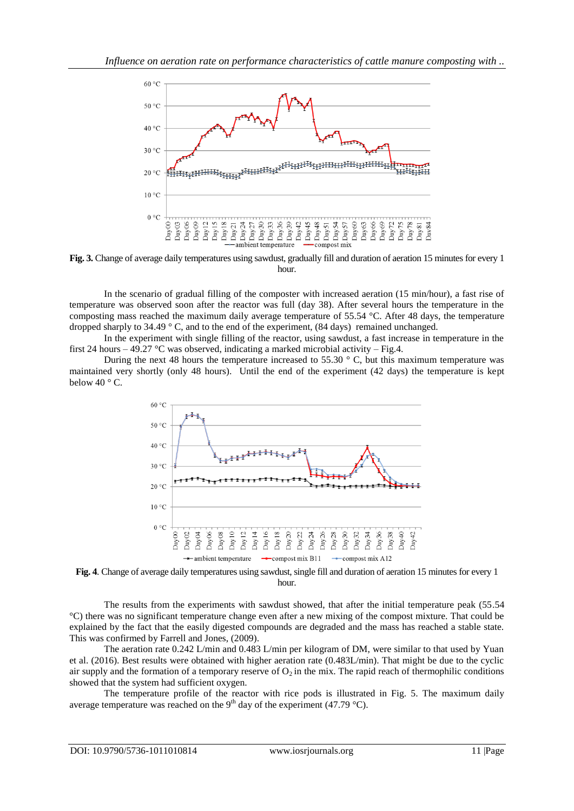

**Fig. 3.** Change of average daily temperatures using sawdust, gradually fill and duration of aeration 15 minutes for every 1 hour.

In the scenario of gradual filling of the composter with increased aeration (15 min/hour), a fast rise of temperature was observed soon after the reactor was full (day 38). After several hours the temperature in the composting mass reached the maximum daily average temperature of 55.54 °C. After 48 days, the temperature dropped sharply to 34.49  $\degree$  C, and to the end of the experiment, (84 days) remained unchanged.

In the experiment with single filling of the reactor, using sawdust, a fast increase in temperature in the first 24 hours – 49.27 °C was observed, indicating a marked microbial activity – Fig.4.

During the next 48 hours the temperature increased to 55.30  $\degree$  C, but this maximum temperature was maintained very shortly (only 48 hours). Until the end of the experiment (42 days) the temperature is kept below 40 $\degree$  C.





The results from the experiments with sawdust showed, that after the initial temperature peak (55.54 °C) there was no significant temperature change even after a new mixing of the compost mixture. That could be explained by the fact that the easily digested compounds are degraded and the mass has reached a stable state. This was confirmed by Farrell and Jones, (2009).

The aeration rate 0.242 L/min and 0.483 L/min per kilogram of DM, were similar to that used by Yuan et al. (2016). Best results were obtained with higher aeration rate (0.483L/min). That might be due to the cyclic air supply and the formation of a temporary reserve of  $O_2$  in the mix. The rapid reach of thermophilic conditions showed that the system had sufficient oxygen.

The temperature profile of the reactor with rice pods is illustrated in Fig. 5. The maximum daily average temperature was reached on the 9<sup>th</sup> day of the experiment (47.79 °C).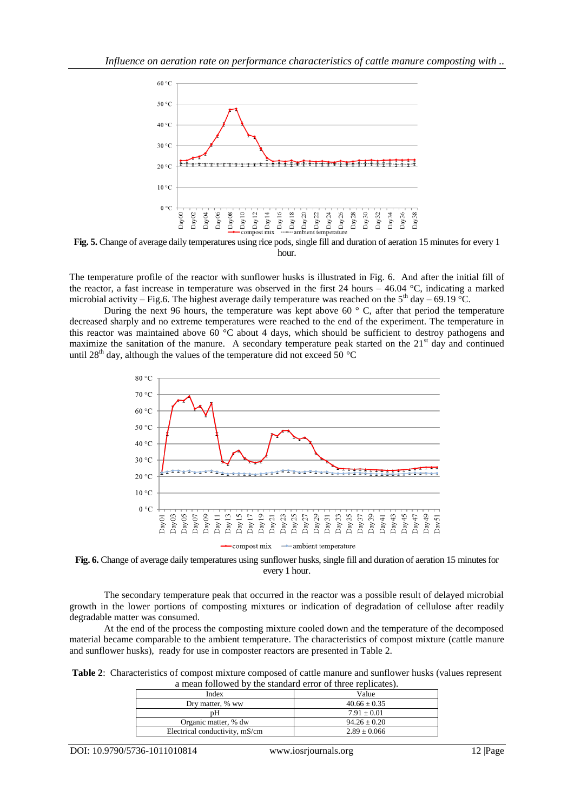

**Fig. 5.** Change of average daily temperatures using rice pods, single fill and duration of aeration 15 minutes for every 1 hour.

The temperature profile of the reactor with sunflower husks is illustrated in Fig. 6. And after the initial fill of the reactor, a fast increase in temperature was observed in the first 24 hours – 46.04 °C, indicating a marked microbial activity – Fig.6. The highest average daily temperature was reached on the  $5<sup>th</sup>$  day – 69.19 °C.

During the next 96 hours, the temperature was kept above 60 $\degree$  C, after that period the temperature decreased sharply and no extreme temperatures were reached to the end of the experiment. The temperature in this reactor was maintained above 60  $\degree$ C about 4 days, which should be sufficient to destroy pathogens and maximize the sanitation of the manure. A secondary temperature peak started on the  $21<sup>st</sup>$  day and continued until 28<sup>th</sup> day, although the values of the temperature did not exceed 50 °C



**Fig. 6.** Change of average daily temperatures using sunflower husks, single fill and duration of aeration 15 minutes for every 1 hour.

The secondary temperature peak that occurred in the reactor was a possible result of delayed microbial growth in the lower portions of composting mixtures or indication of degradation of cellulose after readily degradable matter was consumed.

At the end of the process the composting mixture cooled down and the temperature of the decomposed material became comparable to the ambient temperature. The characteristics of compost mixture (cattle manure and sunflower husks), ready for use in composter reactors are presented in Table 2.

**Table 2**: Characteristics of compost mixture composed of cattle manure and sunflower husks (values represent a mean followed by the standard error of three replicates).

| Index                          | Value            |
|--------------------------------|------------------|
| Dry matter, % ww               | $40.66 \pm 0.35$ |
| pН                             | $7.91 \pm 0.01$  |
| Organic matter, % dw           | $94.26 \pm 0.20$ |
| Electrical conductivity, mS/cm | $2.89 \pm 0.066$ |
|                                |                  |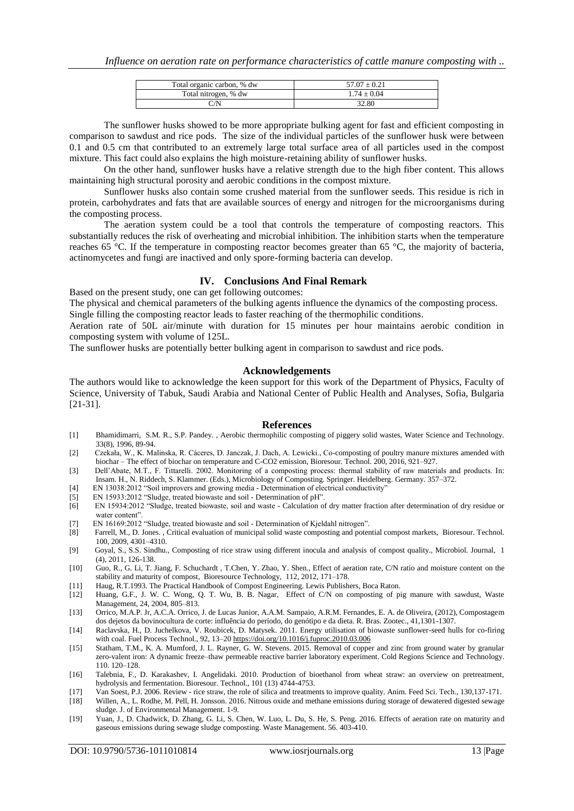| Total organic carbon, % dw | $57.07 \pm 0.21$ |
|----------------------------|------------------|
| Total nitrogen, % dw       | $1.74 + 0.04$    |
| $\gamma_{\rm N}$           | 32.80            |

The sunflower husks showed to be more appropriate bulking agent for fast and efficient composting in comparison to sawdust and rice pods. The size of the individual particles of the sunflower husk were between 0.1 and 0.5 cm that contributed to an extremely large total surface area of all particles used in the compost mixture. This fact could also explains the high moisture-retaining ability of sunflower husks.

On the other hand, sunflower husks have a relative strength due to the high fiber content. This allows maintaining high structural porosity and aerobic conditions in the compost mixture.

Sunflower husks also contain some crushed material from the sunflower seeds. This residue is rich in protein, carbohydrates and fats that are available sources of energy and nitrogen for the microorganisms during the composting process.

The aeration system could be a tool that controls the temperature of composting reactors. This substantially reduces the risk of overheating and microbial inhibition. The inhibition starts when the temperature reaches 65 °C. If the temperature in composting reactor becomes greater than 65 °C, the majority of bacteria, actinomycetes and fungi are inactived and only spore-forming bacteria can develop.

#### **IV. Conclusions And Final Remark**

Based on the present study, one can get following outcomes:

The physical and chemical parameters of the bulking agents influence the dynamics of the composting process. Single filling the composting reactor leads to faster reaching of the thermophilic conditions.

Aeration rate of 50L air/minute with duration for 15 minutes per hour maintains aerobic condition in composting system with volume of 125L.

The sunflower husks are potentially better bulking agent in comparison to sawdust and rice pods.

#### **Acknowledgements**

The authors would like to acknowledge the keen support for this work of the Department of Physics, Faculty of Science, University of Tabuk, Saudi Arabia and National Center of Public Health and Analyses, Sofia, Bulgaria [21-31].

#### **References**

- [1] Bhamidimarri, S.M. R., S.P. Pandey. , Aerobic thermophilic composting of piggery solid wastes, Water Science and Technology. 33(8), 1996, 89-94.
- [2] Czekała, W., K. Malinska, R. Cáceres, D. Janczak, J. Dach, A. Lewicki., Co-composting of poultry manure mixtures amended with biochar – The effect of biochar on temperature and C-CO2 emission, Bioresour. Technol. 200, 2016, 921–927.
- [3] Dell'Abate, M.T., F. Tittarelli. 2002. Monitoring of a composting process: thermal stability of raw materials and products. In: Insam. H., N. Riddech, S. Klammer. (Eds.), Microbiology of Composting. Springer. Heidelberg. Germany. 357–372.
- [4] EN 13038:2012 "Soil improvers and growing media Determination of electrical conductivity"
- [5] EN 15933:2012 "Sludge, treated biowaste and soil Determination of pH".
- [6] EN 15934:2012 "Sludge, treated biowaste, soil and waste Calculation of dry matter fraction after determination of dry residue or water content".
- [7] EN 16169:2012 "Sludge, treated biowaste and soil Determination of Kjeldahl nitrogen".<br>
[8] Farrell, M., D. Jones., Critical evaluation of municipal solid waste composting and poter
- Farrell, M., D. Jones., Critical evaluation of municipal solid waste composting and potential compost markets, Bioresour. Technol. 100, 2009, 4301–4310.
- [9] Goyal, S., S.S. Sindhu., Composting of rice straw using different inocula and analysis of compost quality., Microbiol. Journal, 1 (4), 2011, 126-138.
- [10] Guo, R., G. Li, T. Jiang, F. Schuchardt , T.Chen, Y. Zhao, Y. Shen., Effect of aeration rate, C/N ratio and moisture content on the stability and maturity of compost, Bioresource Technology, 112, 2012, 171–178.
- [11] Haug, R.T.1993. The Practical Handbook of Compost Engineering. Lewis Publishers, Boca Raton.
- Huang, G.F., J. W. C. Wong, Q. T. Wu, B. B. Nagar, Effect of C/N on composting of pig manure with sawdust, Waste Management, 24, 2004, 805–813.
- [13] Orrico, M.A.P. Jr, A.C.A. Orrico, J. de Lucas Junior, A.A.M. Sampaio, A.R.M. Fernandes, E. A. de Oliveira, (2012), Compostagem dos dejetos da bovinocultura de corte: influência do período, do genótipo e da dieta. R. Bras. Zootec., 41,1301-1307.
- [14] Raclavska, H., D. Juchelkova, V. Roubicek, D. Matysek. 2011. Energy utilisation of biowaste sunflower-seed hulls for co-firing with coal. Fuel Process Technol., 92, 13–20<https://doi.org/10.1016/j.fuproc.2010.03.006>
- [15] Statham, T.M., K. A. Mumford, J. L. Rayner, G. W. Stevens. 2015. Removal of copper and zinc from ground water by granular zero-valent iron: A dynamic freeze–thaw permeable reactive barrier laboratory experiment. Cold Regions Science and Technology. 110. 120–128.
- [16] Talebnia, F., D. Karakashev, I. Angelidaki. 2010. Production of bioethanol from wheat straw: an overview on pretreatment, hydrolysis and fermentation. Bioresour. Technol., 101 (13) 4744-4753.
- [17] Van Soest, P.J. 2006. Review rice straw, the role of silica and treatments to improve quality. Anim. Feed Sci. Tech., 130,137-171.
- [18] Willen, A., L. Rodhe, M. Pell, H. Jonsson. 2016. Nitrous oxide and methane emissions during storage of dewatered digested sewage sludge. J. of Environmental Management. 1-9.
- [19] Yuan, J., D. Chadwick, D. Zhang, G. Li, S. Chen, W. Luo, L. Du, S. He, S. Peng. 2016. Effects of aeration rate on maturity and gaseous emissions during sewage sludge composting. Waste Management. 56. 403-410.